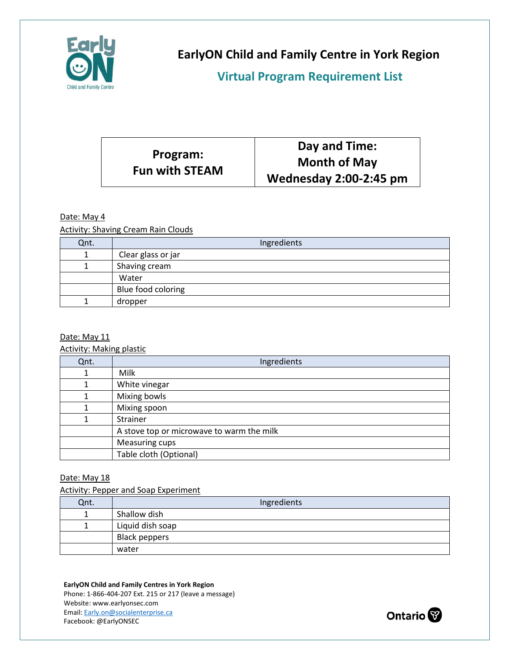

**EarlyON Child and Family Centre in York Region**

**Virtual Program Requirement List** 

|                                   | Day and Time:                 |
|-----------------------------------|-------------------------------|
| Program:<br><b>Fun with STEAM</b> | <b>Month of May</b>           |
|                                   | <b>Wednesday 2:00-2:45 pm</b> |

## Date: May 4

Activity: Shaving Cream Rain Clouds

| Qnt. | Ingredients        |
|------|--------------------|
|      | Clear glass or jar |
|      | Shaving cream      |
|      | Water              |
|      | Blue food coloring |
|      | dropper            |

### Date: May 11

Activity: Making plastic

| Qnt. | Ingredients                               |
|------|-------------------------------------------|
|      | Milk                                      |
|      | White vinegar                             |
|      | Mixing bowls                              |
| 1    | Mixing spoon                              |
|      | Strainer                                  |
|      | A stove top or microwave to warm the milk |
|      | Measuring cups                            |
|      | Table cloth (Optional)                    |

### Date: May 18

Activity: Pepper and Soap Experiment

| Qnt. | Ingredients          |
|------|----------------------|
|      | Shallow dish         |
|      | Liquid dish soap     |
|      | <b>Black peppers</b> |
|      | water                |

#### **EarlyON Child and Family Centres in York Region**

Phone: 1-866-404-207 Ext. 215 or 217 (leave a message) Website: www.earlyonsec.com Email[: Early.on@socialenterprise.ca](mailto:Early.on@socialenterprise.ca) Facebook: @EarlyONSEC